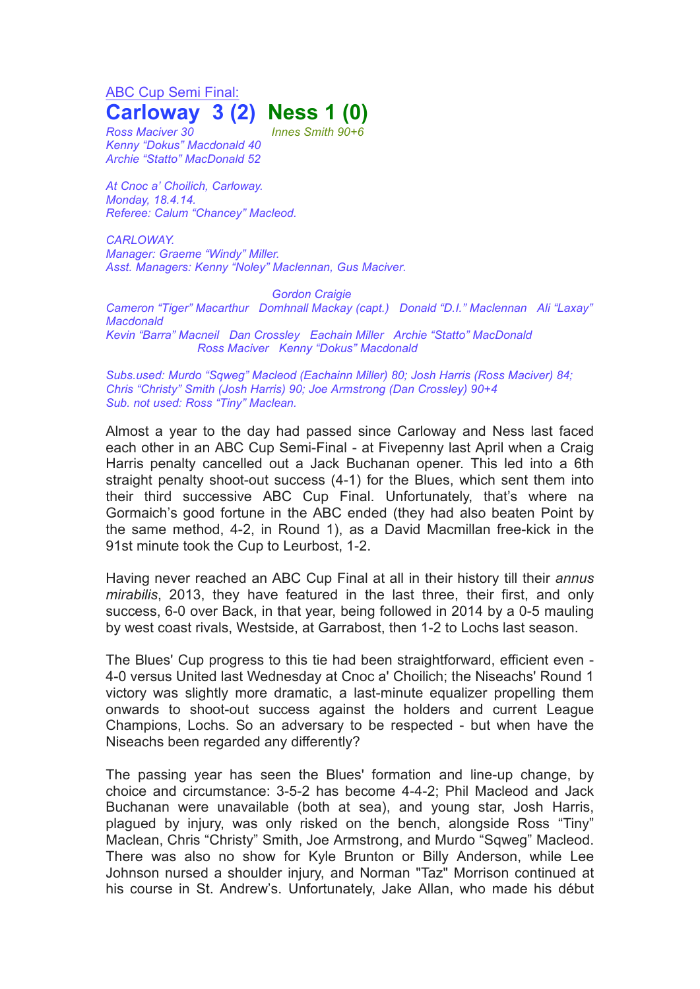ABC Cup Semi Final: **Carloway 3 (2) Ness 1 (0)**

*Ross Maciver 30 Innes Smith 90+6 Kenny "Dokus" Macdonald 40 Archie "Statto" MacDonald 52*

*At Cnoc a' Choilich, Carloway. Monday, 18.4.14. Referee: Calum "Chancey" Macleod.*

*CARLOWAY. Manager: Graeme "Windy" Miller. Asst. Managers: Kenny "Noley" Maclennan, Gus Maciver.*

*Gordon Craigie Cameron "Tiger" Macarthur Domhnall Mackay (capt.) Donald "D.I." Maclennan Ali "Laxay" Macdonald Kevin "Barra" Macneil Dan Crossley Eachain Miller Archie "Statto" MacDonald Ross Maciver Kenny "Dokus" Macdonald*

*Subs.used: Murdo "Sqweg" Macleod (Eachainn Miller) 80; Josh Harris (Ross Maciver) 84; Chris "Christy" Smith (Josh Harris) 90; Joe Armstrong (Dan Crossley) 90+4 Sub. not used: Ross "Tiny" Maclean.*

Almost a year to the day had passed since Carloway and Ness last faced each other in an ABC Cup Semi-Final - at Fivepenny last April when a Craig Harris penalty cancelled out a Jack Buchanan opener. This led into a 6th straight penalty shoot-out success (4-1) for the Blues, which sent them into their third successive ABC Cup Final. Unfortunately, that's where na Gormaich's good fortune in the ABC ended (they had also beaten Point by the same method, 4-2, in Round 1), as a David Macmillan free-kick in the 91st minute took the Cup to Leurbost, 1-2.

Having never reached an ABC Cup Final at all in their history till their *annus mirabilis*, 2013, they have featured in the last three, their first, and only success, 6-0 over Back, in that year, being followed in 2014 by a 0-5 mauling by west coast rivals, Westside, at Garrabost, then 1-2 to Lochs last season.

The Blues' Cup progress to this tie had been straightforward, efficient even - 4-0 versus United last Wednesday at Cnoc a' Choilich; the Niseachs' Round 1 victory was slightly more dramatic, a last-minute equalizer propelling them onwards to shoot-out success against the holders and current League Champions, Lochs. So an adversary to be respected - but when have the Niseachs been regarded any differently?

The passing year has seen the Blues' formation and line-up change, by choice and circumstance: 3-5-2 has become 4-4-2; Phil Macleod and Jack Buchanan were unavailable (both at sea), and young star, Josh Harris, plagued by injury, was only risked on the bench, alongside Ross "Tiny" Maclean, Chris "Christy" Smith, Joe Armstrong, and Murdo "Sqweg" Macleod. There was also no show for Kyle Brunton or Billy Anderson, while Lee Johnson nursed a shoulder injury, and Norman "Taz" Morrison continued at his course in St. Andrew's. Unfortunately, Jake Allan, who made his début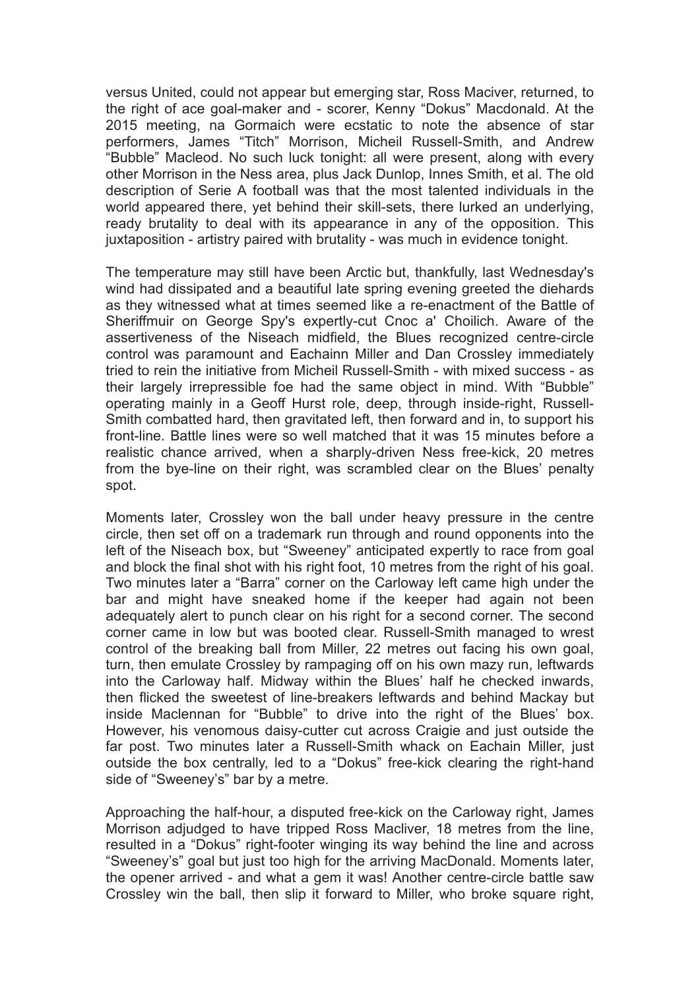versus United, could not appear but emerging star, Ross Maciver, returned, to the right of ace goal-maker and - scorer, Kenny "Dokus" Macdonald. At the 2015 meeting, na Gormaich were ecstatic to note the absence of star performers, James "Titch" Morrison, Micheil Russell-Smith, and Andrew "Bubble" Macleod. No such luck tonight: all were present, along with every other Morrison in the Ness area, plus Jack Dunlop, Innes Smith, et al. The old description of Serie A football was that the most talented individuals in the world appeared there, yet behind their skill-sets, there lurked an underlying, ready brutality to deal with its appearance in any of the opposition. This juxtaposition - artistry paired with brutality - was much in evidence tonight.

The temperature may still have been Arctic but, thankfully, last Wednesday's wind had dissipated and a beautiful late spring evening greeted the diehards as they witnessed what at times seemed like a re-enactment of the Battle of Sheriffmuir on George Spy's expertly-cut Cnoc a' Choilich. Aware of the assertiveness of the Niseach midfield, the Blues recognized centre-circle control was paramount and Eachainn Miller and Dan Crossley immediately tried to rein the initiative from Micheil Russell-Smith - with mixed success - as their largely irrepressible foe had the same object in mind. With "Bubble" operating mainly in a Geoff Hurst role, deep, through inside-right, Russell-Smith combatted hard, then gravitated left, then forward and in, to support his front-line. Battle lines were so well matched that it was 15 minutes before a realistic chance arrived, when a sharply-driven Ness free-kick, 20 metres from the bye-line on their right, was scrambled clear on the Blues' penalty spot.

Moments later, Crossley won the ball under heavy pressure in the centre circle, then set off on a trademark run through and round opponents into the left of the Niseach box, but "Sweeney" anticipated expertly to race from goal and block the final shot with his right foot, 10 metres from the right of his goal. Two minutes later a "Barra" corner on the Carloway left came high under the bar and might have sneaked home if the keeper had again not been adequately alert to punch clear on his right for a second corner. The second corner came in low but was booted clear. Russell-Smith managed to wrest control of the breaking ball from Miller, 22 metres out facing his own goal, turn, then emulate Crossley by rampaging off on his own mazy run, leftwards into the Carloway half. Midway within the Blues' half he checked inwards, then flicked the sweetest of line-breakers leftwards and behind Mackay but inside Maclennan for "Bubble" to drive into the right of the Blues' box. However, his venomous daisy-cutter cut across Craigie and just outside the far post. Two minutes later a Russell-Smith whack on Eachain Miller, just outside the box centrally, led to a "Dokus" free-kick clearing the right-hand side of "Sweeney's" bar by a metre.

Approaching the half-hour, a disputed free-kick on the Carloway right, James Morrison adjudged to have tripped Ross Macliver, 18 metres from the line, resulted in a "Dokus" right-footer winging its way behind the line and across "Sweeney's" goal but just too high for the arriving MacDonald. Moments later, the opener arrived - and what a gem it was! Another centre-circle battle saw Crossley win the ball, then slip it forward to Miller, who broke square right,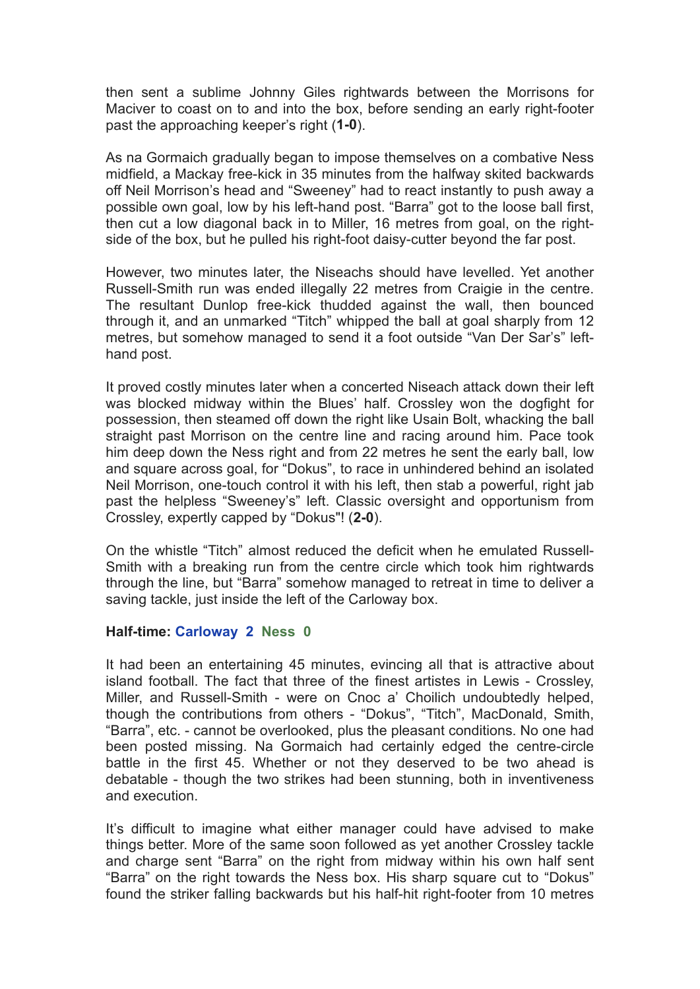then sent a sublime Johnny Giles rightwards between the Morrisons for Maciver to coast on to and into the box, before sending an early right-footer past the approaching keeper's right (**1-0**).

As na Gormaich gradually began to impose themselves on a combative Ness midfield, a Mackay free-kick in 35 minutes from the halfway skited backwards off Neil Morrison's head and "Sweeney" had to react instantly to push away a possible own goal, low by his left-hand post. "Barra" got to the loose ball first, then cut a low diagonal back in to Miller, 16 metres from goal, on the rightside of the box, but he pulled his right-foot daisy-cutter beyond the far post.

However, two minutes later, the Niseachs should have levelled. Yet another Russell-Smith run was ended illegally 22 metres from Craigie in the centre. The resultant Dunlop free-kick thudded against the wall, then bounced through it, and an unmarked "Titch" whipped the ball at goal sharply from 12 metres, but somehow managed to send it a foot outside "Van Der Sar's" lefthand post.

It proved costly minutes later when a concerted Niseach attack down their left was blocked midway within the Blues' half. Crossley won the dogfight for possession, then steamed off down the right like Usain Bolt, whacking the ball straight past Morrison on the centre line and racing around him. Pace took him deep down the Ness right and from 22 metres he sent the early ball, low and square across goal, for "Dokus", to race in unhindered behind an isolated Neil Morrison, one-touch control it with his left, then stab a powerful, right jab past the helpless "Sweeney's" left. Classic oversight and opportunism from Crossley, expertly capped by "Dokus"! (**2-0**).

On the whistle "Titch" almost reduced the deficit when he emulated Russell-Smith with a breaking run from the centre circle which took him rightwards through the line, but "Barra" somehow managed to retreat in time to deliver a saving tackle, just inside the left of the Carloway box.

## **Half-time: Carloway 2 Ness 0**

It had been an entertaining 45 minutes, evincing all that is attractive about island football. The fact that three of the finest artistes in Lewis - Crossley, Miller, and Russell-Smith - were on Cnoc a' Choilich undoubtedly helped, though the contributions from others - "Dokus", "Titch", MacDonald, Smith, "Barra", etc. - cannot be overlooked, plus the pleasant conditions. No one had been posted missing. Na Gormaich had certainly edged the centre-circle battle in the first 45. Whether or not they deserved to be two ahead is debatable - though the two strikes had been stunning, both in inventiveness and execution.

It's difficult to imagine what either manager could have advised to make things better. More of the same soon followed as yet another Crossley tackle and charge sent "Barra" on the right from midway within his own half sent "Barra" on the right towards the Ness box. His sharp square cut to "Dokus" found the striker falling backwards but his half-hit right-footer from 10 metres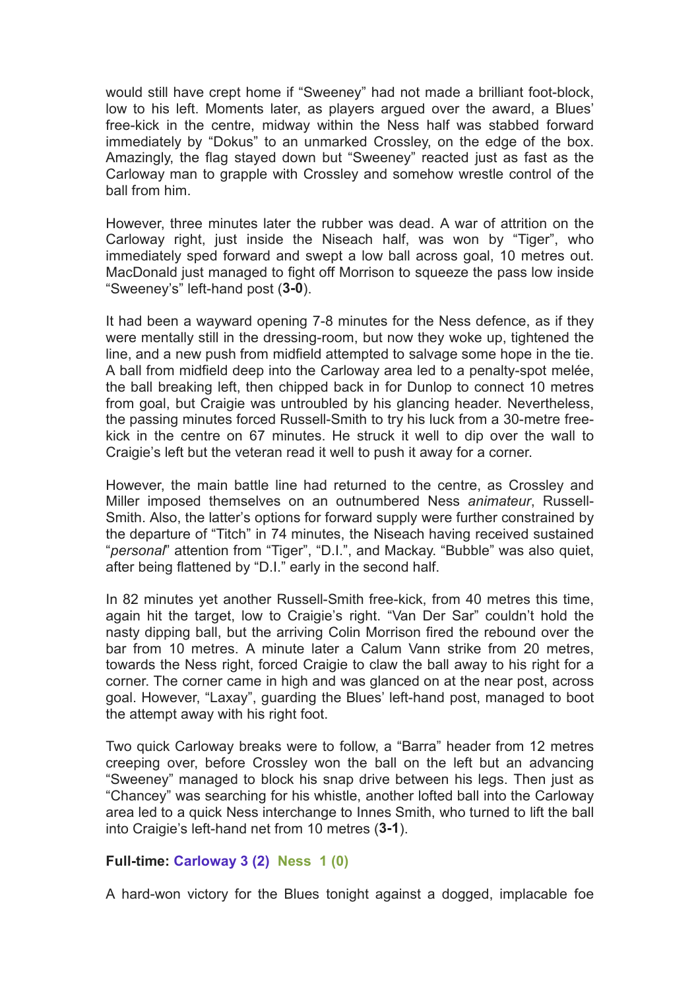would still have crept home if "Sweeney" had not made a brilliant foot-block, low to his left. Moments later, as players argued over the award, a Blues' free-kick in the centre, midway within the Ness half was stabbed forward immediately by "Dokus" to an unmarked Crossley, on the edge of the box. Amazingly, the flag stayed down but "Sweeney" reacted just as fast as the Carloway man to grapple with Crossley and somehow wrestle control of the ball from him.

However, three minutes later the rubber was dead. A war of attrition on the Carloway right, just inside the Niseach half, was won by "Tiger", who immediately sped forward and swept a low ball across goal, 10 metres out. MacDonald just managed to fight off Morrison to squeeze the pass low inside "Sweeney's" left-hand post (**3-0**).

It had been a wayward opening 7-8 minutes for the Ness defence, as if they were mentally still in the dressing-room, but now they woke up, tightened the line, and a new push from midfield attempted to salvage some hope in the tie. A ball from midfield deep into the Carloway area led to a penalty-spot melée, the ball breaking left, then chipped back in for Dunlop to connect 10 metres from goal, but Craigie was untroubled by his glancing header. Nevertheless, the passing minutes forced Russell-Smith to try his luck from a 30-metre freekick in the centre on 67 minutes. He struck it well to dip over the wall to Craigie's left but the veteran read it well to push it away for a corner.

However, the main battle line had returned to the centre, as Crossley and Miller imposed themselves on an outnumbered Ness *animateur*, Russell-Smith. Also, the latter's options for forward supply were further constrained by the departure of "Titch" in 74 minutes, the Niseach having received sustained "*personal*" attention from "Tiger", "D.I.", and Mackay. "Bubble" was also quiet, after being flattened by "D.I." early in the second half.

In 82 minutes yet another Russell-Smith free-kick, from 40 metres this time, again hit the target, low to Craigie's right. "Van Der Sar" couldn't hold the nasty dipping ball, but the arriving Colin Morrison fired the rebound over the bar from 10 metres. A minute later a Calum Vann strike from 20 metres, towards the Ness right, forced Craigie to claw the ball away to his right for a corner. The corner came in high and was glanced on at the near post, across goal. However, "Laxay", guarding the Blues' left-hand post, managed to boot the attempt away with his right foot.

Two quick Carloway breaks were to follow, a "Barra" header from 12 metres creeping over, before Crossley won the ball on the left but an advancing "Sweeney" managed to block his snap drive between his legs. Then just as "Chancey" was searching for his whistle, another lofted ball into the Carloway area led to a quick Ness interchange to Innes Smith, who turned to lift the ball into Craigie's left-hand net from 10 metres (**3-1**).

## **Full-time: Carloway 3 (2) Ness 1 (0)**

A hard-won victory for the Blues tonight against a dogged, implacable foe